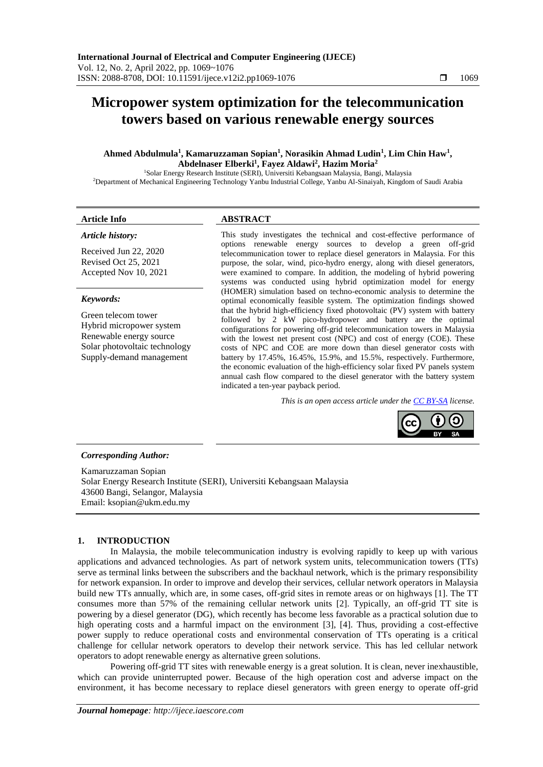# **Micropower system optimization for the telecommunication towers based on various renewable energy sources**

## **Ahmed Abdulmula<sup>1</sup> , Kamaruzzaman Sopian<sup>1</sup> , Norasikin Ahmad Ludin<sup>1</sup> , Lim Chin Haw<sup>1</sup> , Abdelnaser Elberki 1 , Fayez Aldawi<sup>2</sup> , Hazim Moria<sup>2</sup>**

<sup>1</sup>Solar Energy Research Institute (SERI), Universiti Kebangsaan Malaysia, Bangi, Malaysia

<sup>2</sup>Department of Mechanical Engineering Technology Yanbu Industrial College, Yanbu Al-Sinaiyah, Kingdom of Saudi Arabia

## **Article Info ABSTRACT**

## *Article history:*

Received Jun 22, 2020 Revised Oct 25, 2021 Accepted Nov 10, 2021

## *Keywords:*

Green telecom tower Hybrid micropower system Renewable energy source Solar photovoltaic technology Supply-demand management

This study investigates the technical and cost-effective performance of options renewable energy sources to develop a green off-grid telecommunication tower to replace diesel generators in Malaysia. For this purpose, the solar, wind, pico-hydro energy, along with diesel generators, were examined to compare. In addition, the modeling of hybrid powering systems was conducted using hybrid optimization model for energy (HOMER) simulation based on techno-economic analysis to determine the optimal economically feasible system. The optimization findings showed that the hybrid high-efficiency fixed photovoltaic (PV) system with battery followed by 2 kW pico-hydropower and battery are the optimal configurations for powering off-grid telecommunication towers in Malaysia with the lowest net present cost (NPC) and cost of energy (COE). These costs of NPC and COE are more down than diesel generator costs with battery by 17.45%, 16.45%, 15.9%, and 15.5%, respectively. Furthermore, the economic evaluation of the high-efficiency solar fixed PV panels system annual cash flow compared to the diesel generator with the battery system indicated a ten-year payback period.

*This is an open access article under the [CC BY-SA](https://creativecommons.org/licenses/by-sa/4.0/) license.*



## *Corresponding Author:*

Kamaruzzaman Sopian Solar Energy Research Institute (SERI), Universiti Kebangsaan Malaysia 43600 Bangi, Selangor, Malaysia Email: ksopian@ukm.edu.my

## **1. INTRODUCTION**

In Malaysia, the mobile telecommunication industry is evolving rapidly to keep up with various applications and advanced technologies. As part of network system units, telecommunication towers (TTs) serve as terminal links between the subscribers and the backhaul network, which is the primary responsibility for network expansion. In order to improve and develop their services, cellular network operators in Malaysia build new TTs annually, which are, in some cases, off-grid sites in remote areas or on highways [1]. The TT consumes more than 57% of the remaining cellular network units [2]. Typically, an off-grid TT site is powering by a diesel generator (DG), which recently has become less favorable as a practical solution due to high operating costs and a harmful impact on the environment [3], [4]. Thus, providing a cost-effective power supply to reduce operational costs and environmental conservation of TTs operating is a critical challenge for cellular network operators to develop their network service. This has led cellular network operators to adopt renewable energy as alternative green solutions.

Powering off-grid TT sites with renewable energy is a great solution. It is clean, never inexhaustible, which can provide uninterrupted power. Because of the high operation cost and adverse impact on the environment, it has become necessary to replace diesel generators with green energy to operate off-grid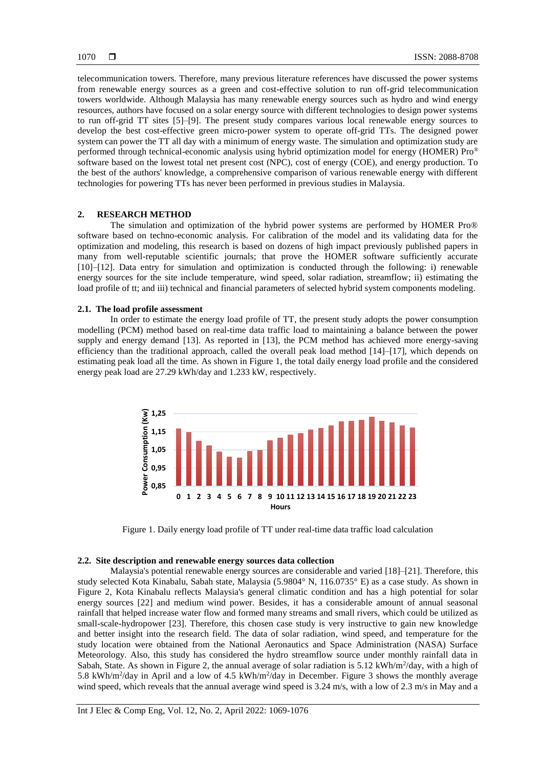telecommunication towers. Therefore, many previous literature references have discussed the power systems from renewable energy sources as a green and cost-effective solution to run off-grid telecommunication towers worldwide. Although Malaysia has many renewable energy sources such as hydro and wind energy resources, authors have focused on a solar energy source with different technologies to design power systems to run off-grid TT sites [5]–[9]. The present study compares various local renewable energy sources to develop the best cost-effective green micro-power system to operate off-grid TTs. The designed power system can power the TT all day with a minimum of energy waste. The simulation and optimization study are performed through technical-economic analysis using hybrid optimization model for energy (HOMER) Pro® software based on the lowest total net present cost (NPC), cost of energy (COE), and energy production. To the best of the authors' knowledge, a comprehensive comparison of various renewable energy with different technologies for powering TTs has never been performed in previous studies in Malaysia.

## **2. RESEARCH METHOD**

The simulation and optimization of the hybrid power systems are performed by HOMER Pro® software based on techno-economic analysis. For calibration of the model and its validating data for the optimization and modeling, this research is based on dozens of high impact previously published papers in many from well-reputable scientific journals; that prove the HOMER software sufficiently accurate [10]–[12]. Data entry for simulation and optimization is conducted through the following: i) renewable energy sources for the site include temperature, wind speed, solar radiation, streamflow; ii) estimating the load profile of tt; and iii) technical and financial parameters of selected hybrid system components modeling.

## **2.1. The load profile assessment**

In order to estimate the energy load profile of TT, the present study adopts the power consumption modelling (PCM) method based on real-time data traffic load to maintaining a balance between the power supply and energy demand [13]. As reported in [13], the PCM method has achieved more energy-saving efficiency than the traditional approach, called the overall peak load method [14]–[17], which depends on estimating peak load all the time. As shown in Figure 1, the total daily energy load profile and the considered energy peak load are 27.29 kWh/day and 1.233 kW, respectively.



Figure 1. Daily energy load profile of TT under real-time data traffic load calculation

### **2.2. Site description and renewable energy sources data collection**

Malaysia's potential renewable energy sources are considerable and varied [18]–[21]. Therefore, this study selected Kota Kinabalu, Sabah state, Malaysia (5.9804° N, 116.0735° E) as a case study. As shown in Figure 2, Kota Kinabalu reflects Malaysia's general climatic condition and has a high potential for solar energy sources [22] and medium wind power. Besides, it has a considerable amount of annual seasonal rainfall that helped increase water flow and formed many streams and small rivers, which could be utilized as small-scale-hydropower [23]. Therefore, this chosen case study is very instructive to gain new knowledge and better insight into the research field. The data of solar radiation, wind speed, and temperature for the study location were obtained from the National Aeronautics and Space Administration (NASA) Surface Meteorology. Also, this study has considered the hydro streamflow source under monthly rainfall data in Sabah, State. As shown in Figure 2, the annual average of solar radiation is  $5.12 \text{ kWh/m}^2/\text{day}$ , with a high of 5.8 kWh/m<sup>2</sup>/day in April and a low of 4.5 kWh/m<sup>2</sup>/day in December. Figure 3 shows the monthly average wind speed, which reveals that the annual average wind speed is 3.24 m/s, with a low of 2.3 m/s in May and a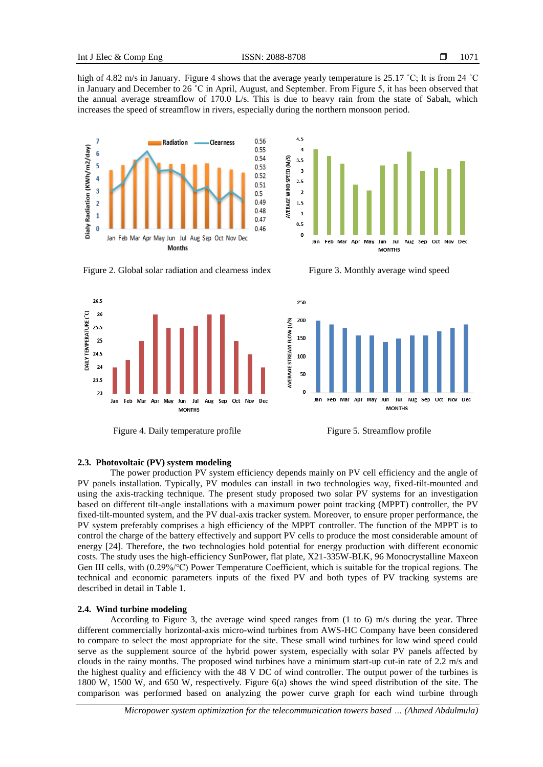high of 4.82 m/s in January. Figure 4 shows that the average yearly temperature is 25.17 °C; It is from 24 °C in January and December to 26 ˚C in April, August, and September. From Figure 5, it has been observed that the annual average streamflow of 170.0 L/s. This is due to heavy rain from the state of Sabah, which increases the speed of streamflow in rivers, especially during the northern monsoon period.





Figure 2. Global solar radiation and clearness index Figure 3. Monthly average wind speed



Figure 4. Daily temperature profile Figure 5. Streamflow profile



## **2.3. Photovoltaic (PV) system modeling**

The power production PV system efficiency depends mainly on PV cell efficiency and the angle of PV panels installation. Typically, PV modules can install in two technologies way, fixed-tilt-mounted and using the axis-tracking technique. The present study proposed two solar PV systems for an investigation based on different tilt-angle installations with a maximum power point tracking (MPPT) controller, the PV fixed-tilt-mounted system, and the PV dual-axis tracker system. Moreover, to ensure proper performance, the PV system preferably comprises a high efficiency of the MPPT controller. The function of the MPPT is to control the charge of the battery effectively and support PV cells to produce the most considerable amount of energy [24]. Therefore, the two technologies hold potential for energy production with different economic costs. The study uses the high-efficiency SunPower, flat plate, X21-335W-BLK, 96 Monocrystalline Maxeon Gen III cells, with (0.29%/°C) Power Temperature Coefficient, which is suitable for the tropical regions. The technical and economic parameters inputs of the fixed PV and both types of PV tracking systems are described in detail in Table 1.

## **2.4. Wind turbine modeling**

According to Figure 3, the average wind speed ranges from (1 to 6) m/s during the year. Three different commercially horizontal-axis micro-wind turbines from AWS-HC Company have been considered to compare to select the most appropriate for the site. These small wind turbines for low wind speed could serve as the supplement source of the hybrid power system, especially with solar PV panels affected by clouds in the rainy months. The proposed wind turbines have a minimum start-up cut-in rate of 2.2 m/s and the highest quality and efficiency with the 48 V DC of wind controller. The output power of the turbines is 1800 W, 1500 W, and 650 W, respectively. Figure 6(a) shows the wind speed distribution of the site. The comparison was performed based on analyzing the power curve graph for each wind turbine through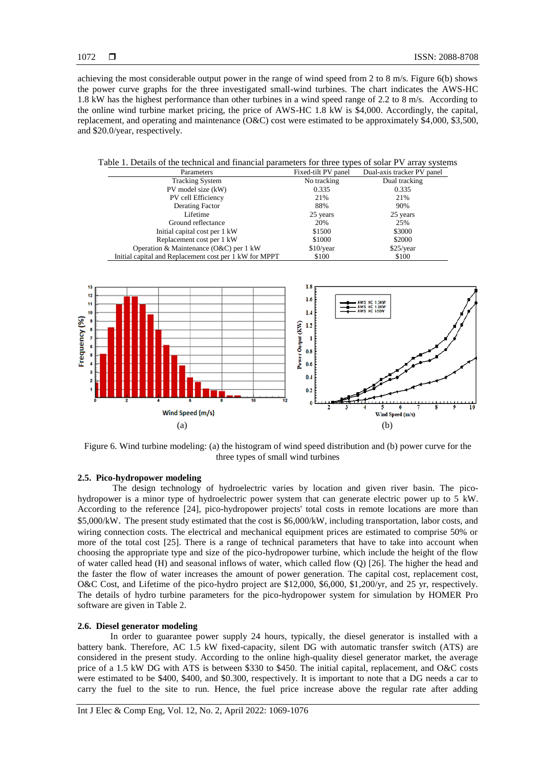achieving the most considerable output power in the range of wind speed from 2 to 8 m/s. Figure 6(b) shows the power curve graphs for the three investigated small-wind turbines. The chart indicates the AWS-HC 1.8 kW has the highest performance than other turbines in a wind speed range of 2.2 to 8 m/s. According to the online wind turbine market pricing, the price of AWS-HC 1.8 kW is \$4,000. Accordingly, the capital, replacement, and operating and maintenance (O&C) cost were estimated to be approximately \$4,000, \$3,500, and \$20.0/year, respectively.

Table 1. Details of the technical and financial parameters for three types of solar PV array systems

| Parameters                                             | Fixed-tilt PV panel | Dual-axis tracker PV panel |
|--------------------------------------------------------|---------------------|----------------------------|
| <b>Tracking System</b>                                 | No tracking         | Dual tracking              |
| PV model size (kW)                                     | 0.335               | 0.335                      |
| PV cell Efficiency                                     | 21%                 | 21%                        |
| Derating Factor                                        | 88%                 | 90%                        |
| Lifetime                                               | 25 years            | 25 years                   |
| Ground reflectance                                     | 20%                 | 25%                        |
| Initial capital cost per 1 kW                          | \$1500              | \$3000                     |
| Replacement cost per 1 kW                              | \$1000              | \$2000                     |
| Operation & Maintenance $(0 &C)$ per 1 kW              | \$10/year           | \$25/year                  |
| Initial capital and Replacement cost per 1 kW for MPPT | \$100               | \$100                      |



Figure 6. Wind turbine modeling: (a) the histogram of wind speed distribution and (b) power curve for the three types of small wind turbines

## **2.5. Pico-hydropower modeling**

The design technology of hydroelectric varies by location and given river basin. The picohydropower is a minor type of hydroelectric power system that can generate electric power up to 5 kW. According to the reference [24], pico-hydropower projects' total costs in remote locations are more than \$5,000/kW. The present study estimated that the cost is \$6,000/kW, including transportation, labor costs, and wiring connection costs. The electrical and mechanical equipment prices are estimated to comprise 50% or more of the total cost [25]. There is a range of technical parameters that have to take into account when choosing the appropriate type and size of the pico-hydropower turbine, which include the height of the flow of water called head (H) and seasonal inflows of water, which called flow (Q) [26]. The higher the head and the faster the flow of water increases the amount of power generation. The capital cost, replacement cost, O&C Cost, and Lifetime of the pico-hydro project are \$12,000, \$6,000, \$1,200/yr, and 25 yr, respectively. The details of hydro turbine parameters for the pico-hydropower system for simulation by HOMER Pro software are given in Table 2.

## **2.6. Diesel generator modeling**

In order to guarantee power supply 24 hours, typically, the diesel generator is installed with a battery bank. Therefore, AC 1.5 kW fixed-capacity, silent DG with automatic transfer switch (ATS) are considered in the present study. According to the online high-quality diesel generator market, the average price of a 1.5 kW DG with ATS is between \$330 to \$450. The initial capital, replacement, and O&C costs were estimated to be \$400, \$400, and \$0.300, respectively. It is important to note that a DG needs a car to carry the fuel to the site to run. Hence, the fuel price increase above the regular rate after adding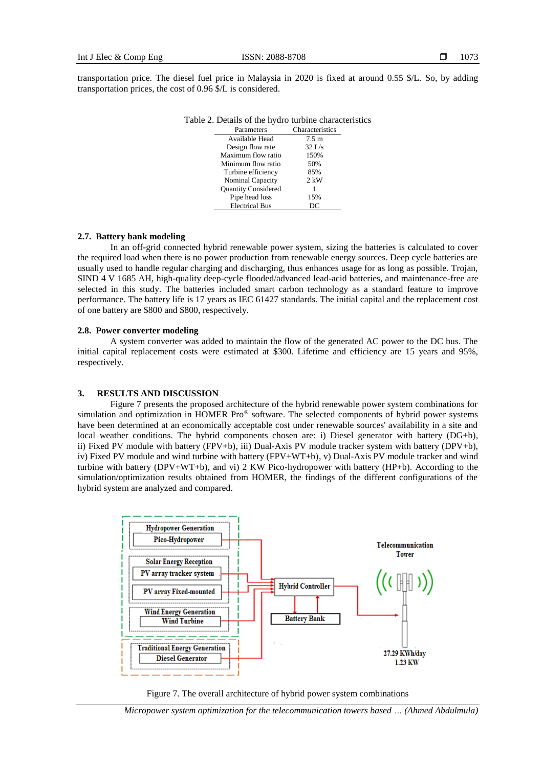transportation price. The diesel fuel price in Malaysia in 2020 is fixed at around 0.55 \$/L. So, by adding transportation prices, the cost of 0.96 \$/L is considered.

| $\epsilon$ 2. Dealing of the hydro-tarbine emanage |                 |  |  |
|----------------------------------------------------|-----------------|--|--|
| Parameters                                         | Characteristics |  |  |
| Available Head                                     | $7.5 \text{ m}$ |  |  |
| Design flow rate                                   | $32$ L/s        |  |  |
| Maximum flow ratio                                 | 150%            |  |  |
| Minimum flow ratio                                 | 50%             |  |  |
| Turbine efficiency                                 | 85%             |  |  |
| Nominal Capacity                                   | $2$ kW          |  |  |
| <b>Quantity Considered</b>                         |                 |  |  |
| Pipe head loss                                     | 15%             |  |  |
| <b>Electrical Bus</b>                              | DC              |  |  |

| Table 2. Details of the hydro turbine characteristics |  |  |  |
|-------------------------------------------------------|--|--|--|
|-------------------------------------------------------|--|--|--|

## **2.7. Battery bank modeling**

In an off-grid connected hybrid renewable power system, sizing the batteries is calculated to cover the required load when there is no power production from renewable energy sources. Deep cycle batteries are usually used to handle regular charging and discharging, thus enhances usage for as long as possible. Trojan, SIND 4 V 1685 AH, high-quality deep-cycle flooded/advanced lead-acid batteries, and maintenance-free are selected in this study. The batteries included smart carbon technology as a standard feature to improve performance. The battery life is 17 years as IEC 61427 standards. The initial capital and the replacement cost of one battery are \$800 and \$800, respectively.

#### **2.8. Power converter modeling**

A system converter was added to maintain the flow of the generated AC power to the DC bus. The initial capital replacement costs were estimated at \$300. Lifetime and efficiency are 15 years and 95%, respectively.

## **3. RESULTS AND DISCUSSION**

Figure 7 presents the proposed architecture of the hybrid renewable power system combinations for simulation and optimization in HOMER Pro® software. The selected components of hybrid power systems have been determined at an economically acceptable cost under renewable sources' availability in a site and local weather conditions. The hybrid components chosen are: i) Diesel generator with battery (DG+b), ii) Fixed PV module with battery (FPV+b), iii) Dual-Axis PV module tracker system with battery (DPV+b), iv) Fixed PV module and wind turbine with battery (FPV+WT+b), v) Dual-Axis PV module tracker and wind turbine with battery (DPV+WT+b), and vi) 2 KW Pico-hydropower with battery (HP+b). According to the simulation/optimization results obtained from HOMER, the findings of the different configurations of the hybrid system are analyzed and compared.





*Micropower system optimization for the telecommunication towers based … (Ahmed Abdulmula)*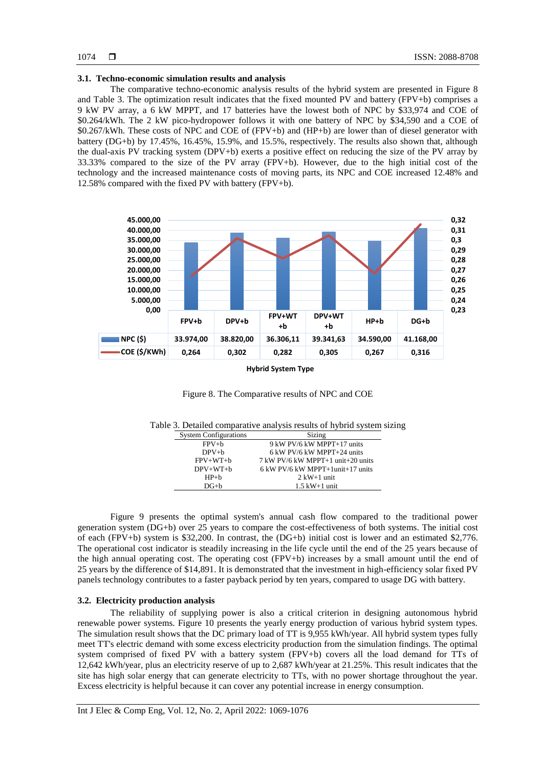## **3.1. Techno-economic simulation results and analysis**

The comparative techno-economic analysis results of the hybrid system are presented in Figure 8 and Table 3. The optimization result indicates that the fixed mounted PV and battery (FPV+b) comprises a 9 kW PV array, a 6 kW MPPT, and 17 batteries have the lowest both of NPC by \$33,974 and COE of \$0.264/kWh. The 2 kW pico-hydropower follows it with one battery of NPC by \$34,590 and a COE of \$0.267/kWh. These costs of NPC and COE of (FPV+b) and (HP+b) are lower than of diesel generator with battery (DG+b) by 17.45%, 16.45%, 15.9%, and 15.5%, respectively. The results also shown that, although the dual-axis PV tracking system (DPV+b) exerts a positive effect on reducing the size of the PV array by 33.33% compared to the size of the PV array (FPV+b). However, due to the high initial cost of the technology and the increased maintenance costs of moving parts, its NPC and COE increased 12.48% and 12.58% compared with the fixed PV with battery (FPV+b).



#### **Hybrid System Type**



|  |  | Table 3. Detailed comparative analysis results of hybrid system sizing |  |  |  |  |  |
|--|--|------------------------------------------------------------------------|--|--|--|--|--|
|--|--|------------------------------------------------------------------------|--|--|--|--|--|

| <b>System Configurations</b> | Sizing                             |
|------------------------------|------------------------------------|
| $FPV+h$                      | 9 kW PV/6 kW MPPT+17 units         |
| $DPV+h$                      | 6 kW PV/6 kW MPPT+24 units         |
| $FPV+WT+h$                   | 7 kW PV/6 kW MPPT+1 unit+20 units  |
| $DPV+WT+h$                   | $6$ kW PV/6 kW MPPT+1unit+17 units |
| $HP + h$                     | $2$ kW+1 unit                      |
| $DG+h$                       | $1.5$ kW $+1$ unit                 |

Figure 9 presents the optimal system's annual cash flow compared to the traditional power generation system (DG+b) over 25 years to compare the cost-effectiveness of both systems. The initial cost of each (FPV+b) system is \$32,200. In contrast, the (DG+b) initial cost is lower and an estimated \$2,776. The operational cost indicator is steadily increasing in the life cycle until the end of the 25 years because of the high annual operating cost. The operating cost (FPV+b) increases by a small amount until the end of 25 years by the difference of \$14,891. It is demonstrated that the investment in high-efficiency solar fixed PV panels technology contributes to a faster payback period by ten years, compared to usage DG with battery.

## **3.2. Electricity production analysis**

The reliability of supplying power is also a critical criterion in designing autonomous hybrid renewable power systems. Figure 10 presents the yearly energy production of various hybrid system types. The simulation result shows that the DC primary load of TT is 9,955 kWh/year. All hybrid system types fully meet TT's electric demand with some excess electricity production from the simulation findings. The optimal system comprised of fixed PV with a battery system (FPV+b) covers all the load demand for TTs of 12,642 kWh/year, plus an electricity reserve of up to 2,687 kWh/year at 21.25%. This result indicates that the site has high solar energy that can generate electricity to TTs, with no power shortage throughout the year. Excess electricity is helpful because it can cover any potential increase in energy consumption.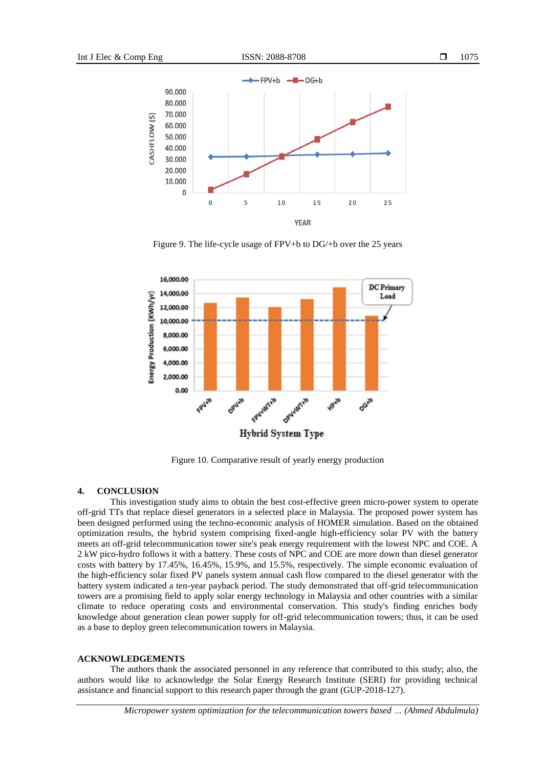

Figure 9. The life-cycle usage of FPV+b to DG/+b over the 25 years



Figure 10. Comparative result of yearly energy production

## **4. CONCLUSION**

This investigation study aims to obtain the best cost-effective green micro-power system to operate off-grid TTs that replace diesel generators in a selected place in Malaysia. The proposed power system has been designed performed using the techno-economic analysis of HOMER simulation. Based on the obtained optimization results, the hybrid system comprising fixed-angle high-efficiency solar PV with the battery meets an off-grid telecommunication tower site's peak energy requirement with the lowest NPC and COE. A 2 kW pico-hydro follows it with a battery. These costs of NPC and COE are more down than diesel generator costs with battery by 17.45%, 16.45%, 15.9%, and 15.5%, respectively. The simple economic evaluation of the high-efficiency solar fixed PV panels system annual cash flow compared to the diesel generator with the battery system indicated a ten-year payback period. The study demonstrated that off-grid telecommunication towers are a promising field to apply solar energy technology in Malaysia and other countries with a similar climate to reduce operating costs and environmental conservation. This study's finding enriches body knowledge about generation clean power supply for off-grid telecommunication towers; thus, it can be used as a base to deploy green telecommunication towers in Malaysia.

## **ACKNOWLEDGEMENTS**

The authors thank the associated personnel in any reference that contributed to this study; also, the authors would like to acknowledge the Solar Energy Research Institute (SERI) for providing technical assistance and financial support to this research paper through the grant (GUP-2018-127).